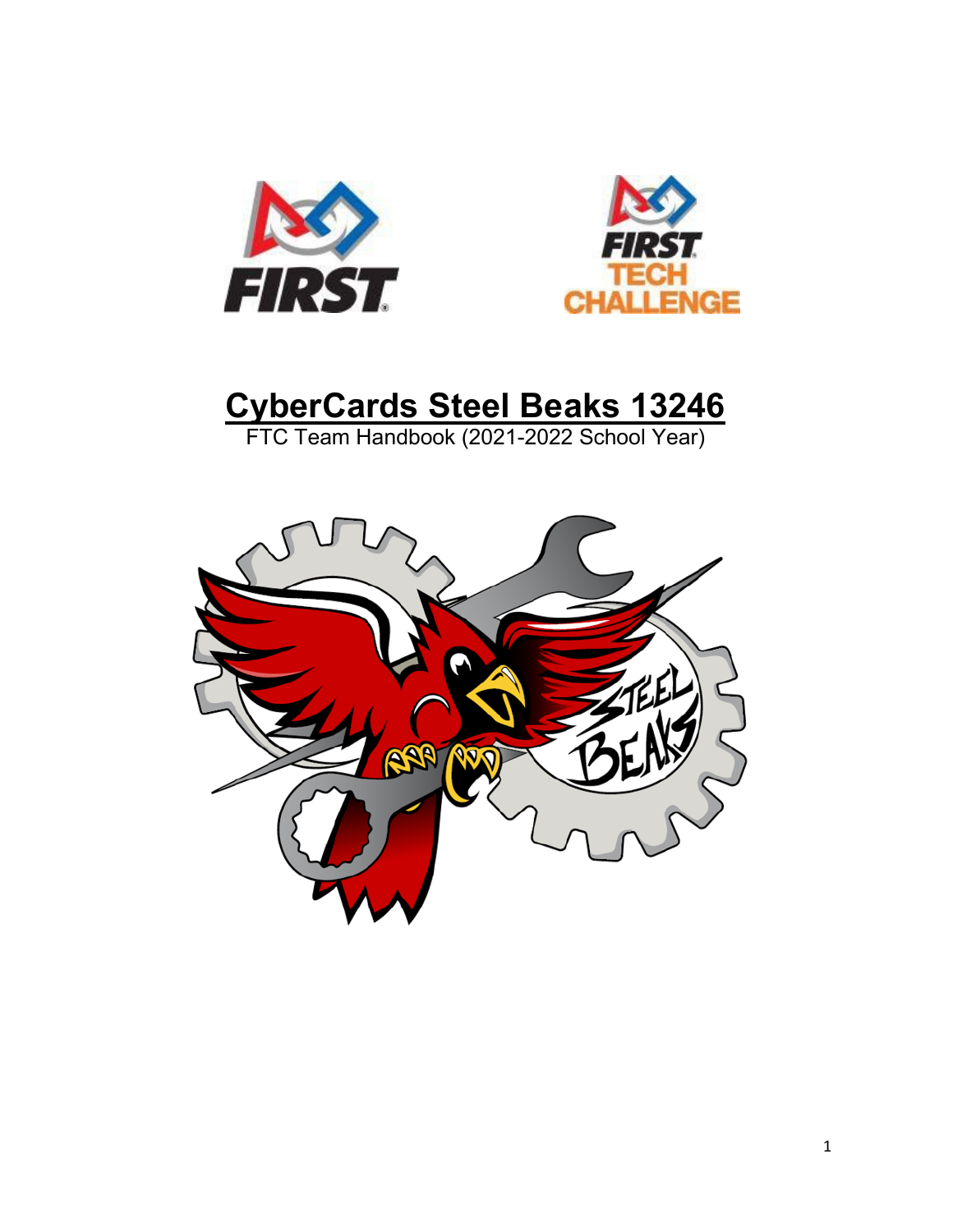



# **CyberCards Steel Beaks 13246**

FTC Team Handbook (2021-2022 School Year)

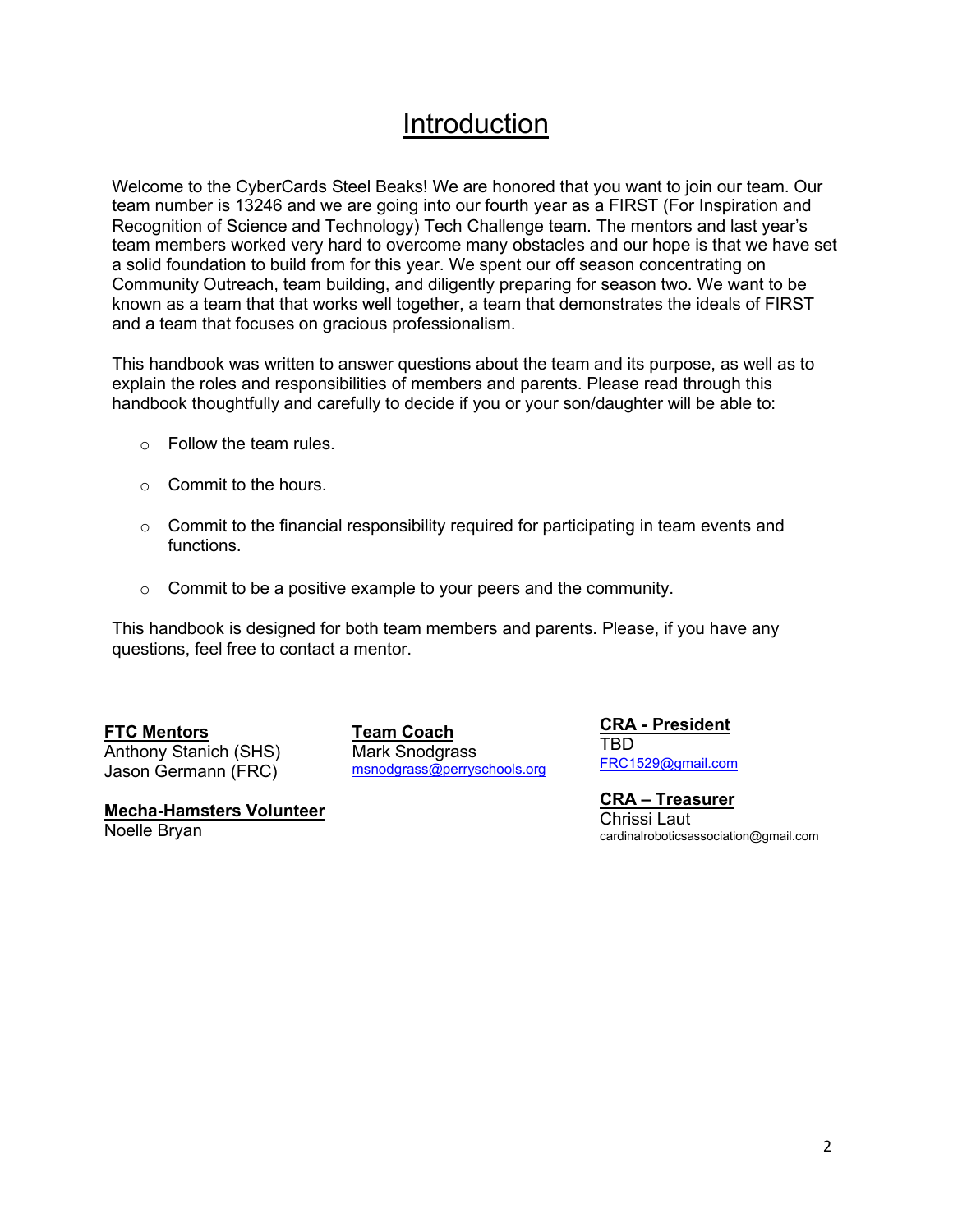### Introduction

Welcome to the CyberCards Steel Beaks! We are honored that you want to join our team. Our team number is 13246 and we are going into our fourth year as a FIRST (For Inspiration and Recognition of Science and Technology) Tech Challenge team. The mentors and last year's team members worked very hard to overcome many obstacles and our hope is that we have set a solid foundation to build from for this year. We spent our off season concentrating on Community Outreach, team building, and diligently preparing for season two. We want to be known as a team that that works well together, a team that demonstrates the ideals of FIRST and a team that focuses on gracious professionalism.

This handbook was written to answer questions about the team and its purpose, as well as to explain the roles and responsibilities of members and parents. Please read through this handbook thoughtfully and carefully to decide if you or your son/daughter will be able to:

- o Follow the team rules.
- $\circ$  Commit to the hours.
- $\circ$  Commit to the financial responsibility required for participating in team events and functions.
- $\circ$  Commit to be a positive example to your peers and the community.

This handbook is designed for both team members and parents. Please, if you have any questions, feel free to contact a mentor.

#### **FTC Mentors**

Anthony Stanich (SHS) Jason Germann (FRC)

**Team Coach** Mark Snodgrass [msnodgrass@perryschools.org](mailto:msnodgrass@perryschools.org) **CRA - President** TBD

[FRC1529@gmail.com](mailto:FRC1529@gmail.com)

**CRA – Treasurer** Chrissi Laut cardinalroboticsassociation@gmail.com

**Mecha-Hamsters Volunteer** Noelle Bryan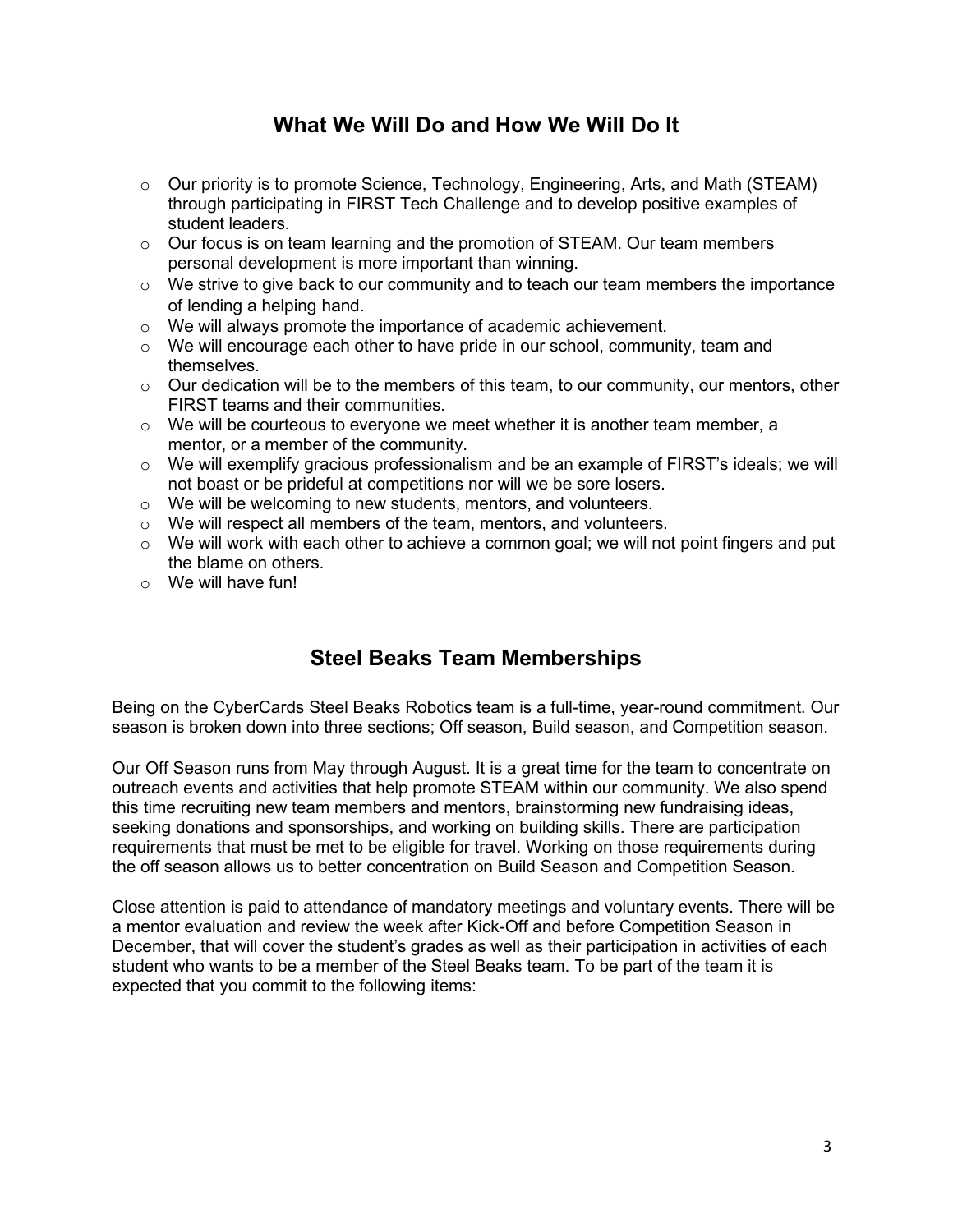### **What We Will Do and How We Will Do It**

- $\circ$  Our priority is to promote Science, Technology, Engineering, Arts, and Math (STEAM) through participating in FIRST Tech Challenge and to develop positive examples of student leaders.
- $\circ$  Our focus is on team learning and the promotion of STEAM. Our team members personal development is more important than winning.
- $\circ$  We strive to give back to our community and to teach our team members the importance of lending a helping hand.
- o We will always promote the importance of academic achievement.
- $\circ$  We will encourage each other to have pride in our school, community, team and themselves.
- $\circ$  Our dedication will be to the members of this team, to our community, our mentors, other FIRST teams and their communities.
- $\circ$  We will be courteous to everyone we meet whether it is another team member, a mentor, or a member of the community.
- o We will exemplify gracious professionalism and be an example of FIRST's ideals; we will not boast or be prideful at competitions nor will we be sore losers.
- o We will be welcoming to new students, mentors, and volunteers.
- o We will respect all members of the team, mentors, and volunteers.
- $\circ$  We will work with each other to achieve a common goal; we will not point fingers and put the blame on others.
- o We will have fun!

### **Steel Beaks Team Memberships**

Being on the CyberCards Steel Beaks Robotics team is a full-time, year-round commitment. Our season is broken down into three sections; Off season, Build season, and Competition season.

Our Off Season runs from May through August. It is a great time for the team to concentrate on outreach events and activities that help promote STEAM within our community. We also spend this time recruiting new team members and mentors, brainstorming new fundraising ideas, seeking donations and sponsorships, and working on building skills. There are participation requirements that must be met to be eligible for travel. Working on those requirements during the off season allows us to better concentration on Build Season and Competition Season.

Close attention is paid to attendance of mandatory meetings and voluntary events. There will be a mentor evaluation and review the week after Kick-Off and before Competition Season in December, that will cover the student's grades as well as their participation in activities of each student who wants to be a member of the Steel Beaks team. To be part of the team it is expected that you commit to the following items: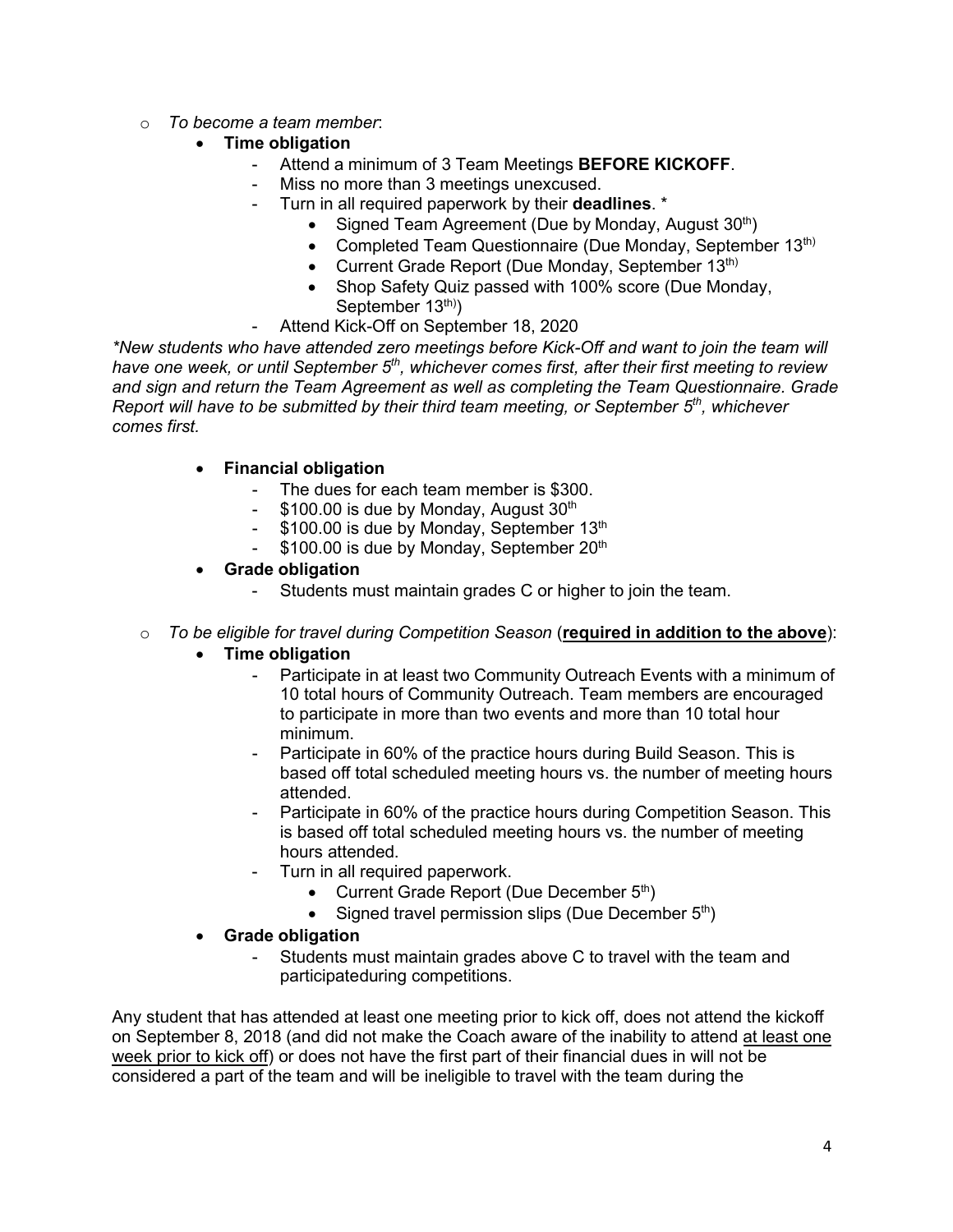o *To become a team member*:

#### • **Time obligation**

- Attend a minimum of 3 Team Meetings **BEFORE KICKOFF**.
- Miss no more than 3 meetings unexcused.
- Turn in all required paperwork by their **deadlines**. \*
	- Signed Team Agreement (Due by Monday, August  $30<sup>th</sup>$ )
	- Completed Team Questionnaire (Due Monday, September 13<sup>th)</sup>
	- Current Grade Report (Due Monday, September 13<sup>th)</sup>
	- Shop Safety Quiz passed with 100% score (Due Monday, September 13<sup>th)</sup>)
- Attend Kick-Off on September 18, 2020

*\*New students who have attended zero meetings before Kick-Off and want to join the team will have one week, or until September 5th, whichever comes first, after their first meeting to review and sign and return the Team Agreement as well as completing the Team Questionnaire. Grade Report will have to be submitted by their third team meeting, or September 5th, whichever comes first.*

#### • **Financial obligation**

- The dues for each team member is \$300.
- \$100.00 is due by Monday, August 30<sup>th</sup>
- $-$  \$100.00 is due by Monday, September 13<sup>th</sup>
- $-$  \$100.00 is due by Monday, September 20<sup>th</sup>
- **Grade obligation**
	- Students must maintain grades C or higher to join the team.
- o *To be eligible for travel during Competition Season* (**required in addition to the above**):
	- **Time obligation**
		- Participate in at least two Community Outreach Events with a minimum of 10 total hours of Community Outreach. Team members are encouraged to participate in more than two events and more than 10 total hour minimum.
		- Participate in 60% of the practice hours during Build Season. This is based off total scheduled meeting hours vs. the number of meeting hours attended.
		- Participate in 60% of the practice hours during Competition Season. This is based off total scheduled meeting hours vs. the number of meeting hours attended.
		- Turn in all required paperwork.
			- Current Grade Report (Due December 5<sup>th</sup>)
			- Signed travel permission slips (Due December  $5<sup>th</sup>$ )
	- **Grade obligation**
		- Students must maintain grades above C to travel with the team and participateduring competitions.

Any student that has attended at least one meeting prior to kick off, does not attend the kickoff on September 8, 2018 (and did not make the Coach aware of the inability to attend at least one week prior to kick off) or does not have the first part of their financial dues in will not be considered a part of the team and will be ineligible to travel with the team during the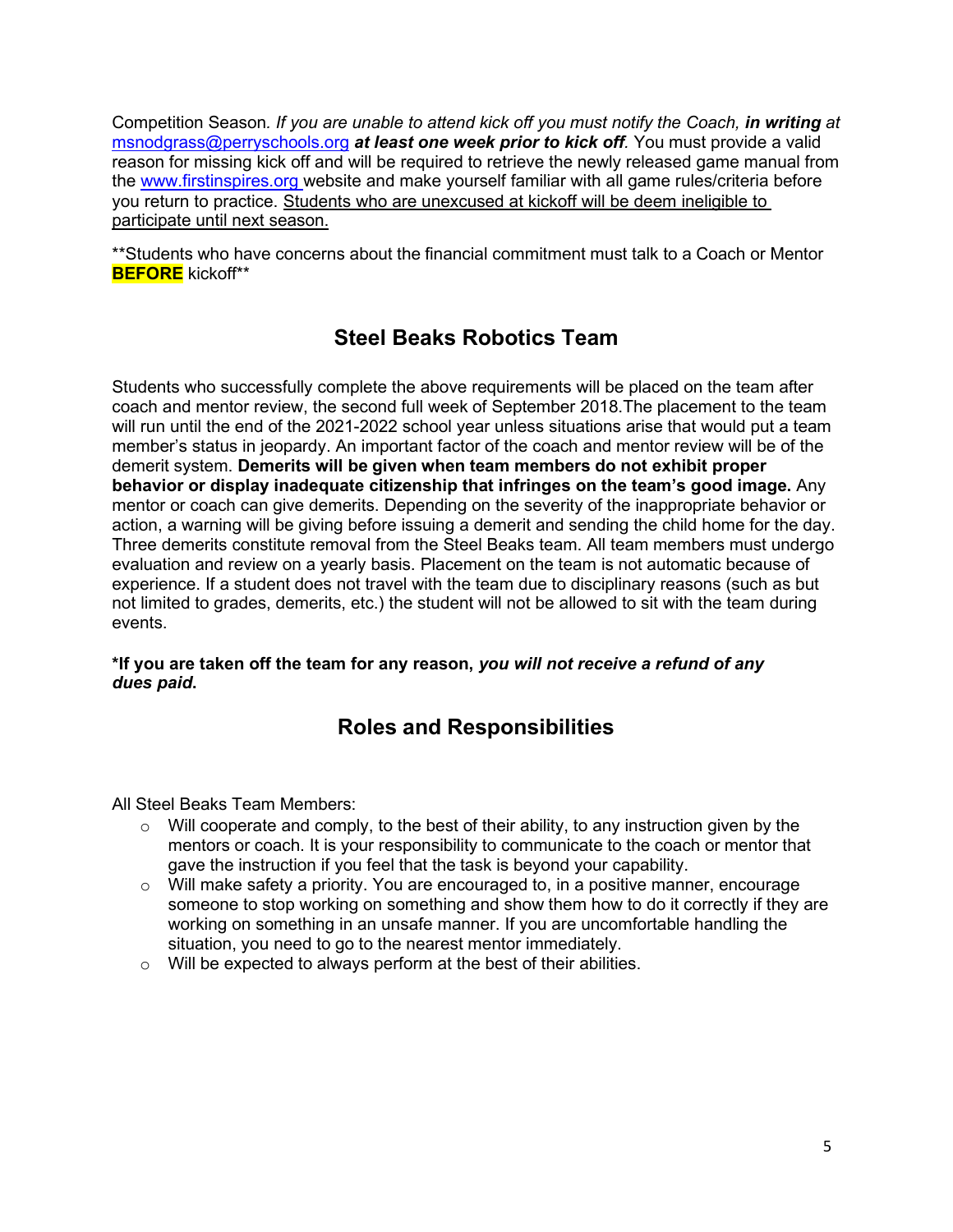Competition Season*. If you are unable to attend kick off you must notify the Coach, in writing at* msnodgrass@perryschools.org *at least one week prior to kick off.* You must provide a valid reason for missing kick off and will be required to retrieve the newly released game manual from the www.firstinspires.org website and make yourself familiar with all game rules/criteria before you return to practice. Students who are unexcused at kickoff will be deem ineligible to participate until next season.

\*\*Students who have concerns about the financial commitment must talk to a Coach or Mentor **BEFORE** kickoff\*\*

### **Steel Beaks Robotics Team**

Students who successfully complete the above requirements will be placed on the team after coach and mentor review, the second full week of September 2018.The placement to the team will run until the end of the 2021-2022 school year unless situations arise that would put a team member's status in jeopardy. An important factor of the coach and mentor review will be of the demerit system. **Demerits will be given when team members do not exhibit proper behavior or display inadequate citizenship that infringes on the team's good image.** Any mentor or coach can give demerits. Depending on the severity of the inappropriate behavior or action, a warning will be giving before issuing a demerit and sending the child home for the day. Three demerits constitute removal from the Steel Beaks team. All team members must undergo evaluation and review on a yearly basis. Placement on the team is not automatic because of experience. If a student does not travel with the team due to disciplinary reasons (such as but not limited to grades, demerits, etc.) the student will not be allowed to sit with the team during events.

#### **\*If you are taken off the team for any reason,** *you will not receive a refund of any dues paid***.**

### **Roles and Responsibilities**

All Steel Beaks Team Members:

- $\circ$  Will cooperate and comply, to the best of their ability, to any instruction given by the mentors or coach. It is your responsibility to communicate to the coach or mentor that gave the instruction if you feel that the task is beyond your capability.
- o Will make safety a priority. You are encouraged to, in a positive manner, encourage someone to stop working on something and show them how to do it correctly if they are working on something in an unsafe manner. If you are uncomfortable handling the situation, you need to go to the nearest mentor immediately.
- $\circ$  Will be expected to always perform at the best of their abilities.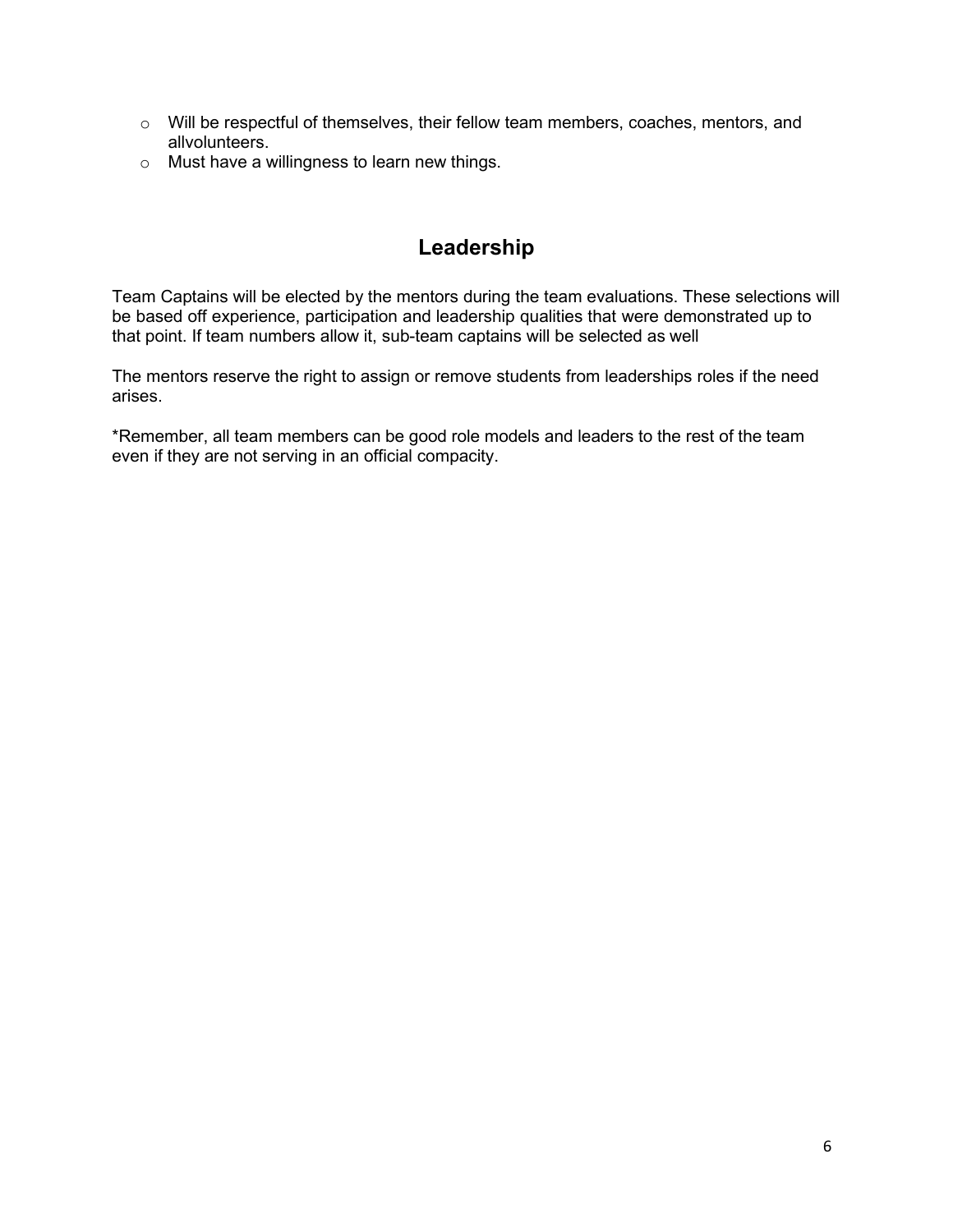- o Will be respectful of themselves, their fellow team members, coaches, mentors, and allvolunteers.
- o Must have a willingness to learn new things.

### **Leadership**

Team Captains will be elected by the mentors during the team evaluations. These selections will be based off experience, participation and leadership qualities that were demonstrated up to that point. If team numbers allow it, sub-team captains will be selected as well

The mentors reserve the right to assign or remove students from leaderships roles if the need arises.

\*Remember, all team members can be good role models and leaders to the rest of the team even if they are not serving in an official compacity.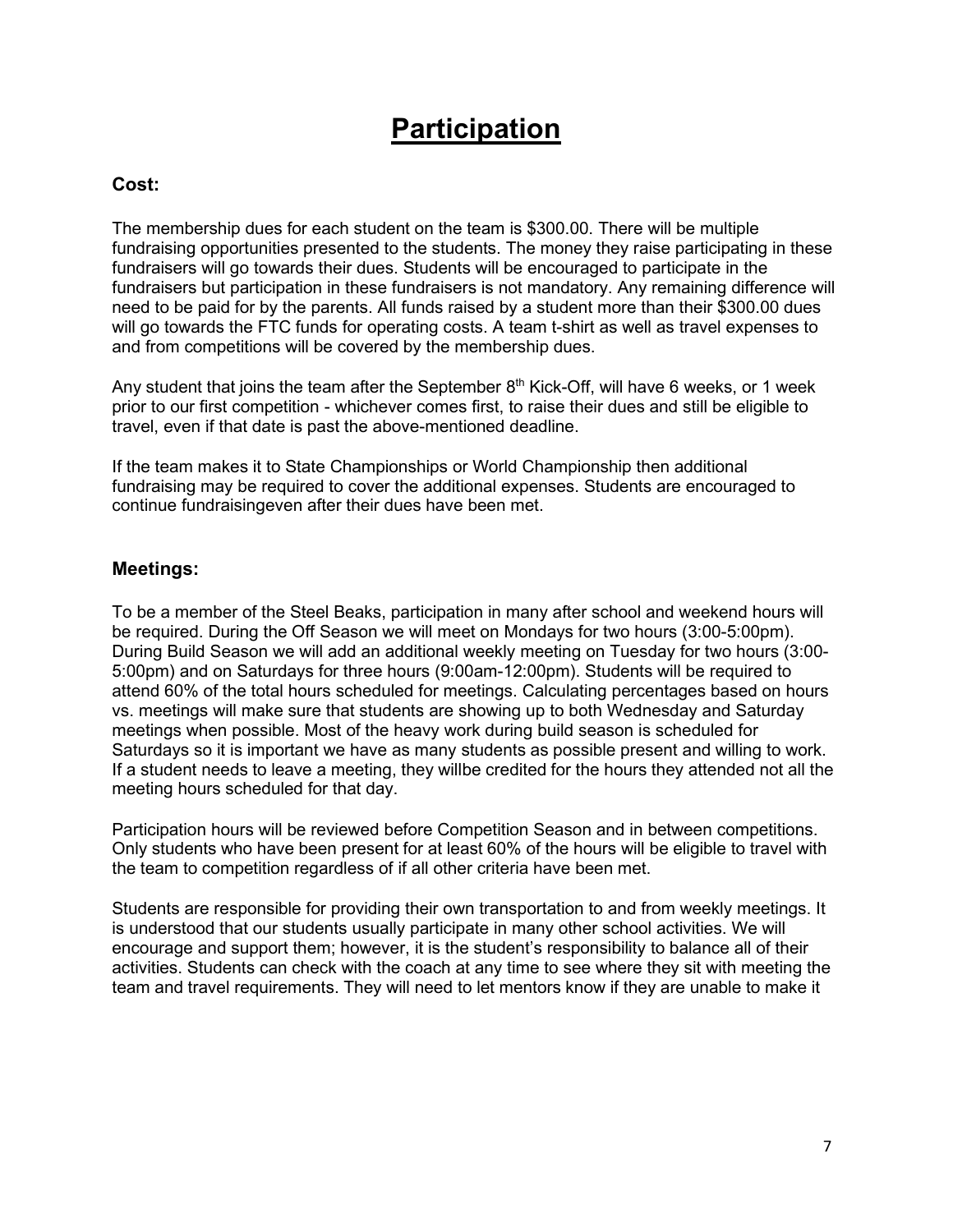### **Participation**

#### **Cost:**

The membership dues for each student on the team is \$300.00. There will be multiple fundraising opportunities presented to the students. The money they raise participating in these fundraisers will go towards their dues. Students will be encouraged to participate in the fundraisers but participation in these fundraisers is not mandatory. Any remaining difference will need to be paid for by the parents. All funds raised by a student more than their \$300.00 dues will go towards the FTC funds for operating costs. A team t-shirt as well as travel expenses to and from competitions will be covered by the membership dues.

Any student that joins the team after the September  $8<sup>th</sup>$  Kick-Off, will have 6 weeks, or 1 week prior to our first competition - whichever comes first, to raise their dues and still be eligible to travel, even if that date is past the above-mentioned deadline.

If the team makes it to State Championships or World Championship then additional fundraising may be required to cover the additional expenses. Students are encouraged to continue fundraisingeven after their dues have been met.

#### **Meetings:**

To be a member of the Steel Beaks, participation in many after school and weekend hours will be required. During the Off Season we will meet on Mondays for two hours (3:00-5:00pm). During Build Season we will add an additional weekly meeting on Tuesday for two hours (3:00- 5:00pm) and on Saturdays for three hours (9:00am-12:00pm). Students will be required to attend 60% of the total hours scheduled for meetings. Calculating percentages based on hours vs. meetings will make sure that students are showing up to both Wednesday and Saturday meetings when possible. Most of the heavy work during build season is scheduled for Saturdays so it is important we have as many students as possible present and willing to work. If a student needs to leave a meeting, they willbe credited for the hours they attended not all the meeting hours scheduled for that day.

Participation hours will be reviewed before Competition Season and in between competitions. Only students who have been present for at least 60% of the hours will be eligible to travel with the team to competition regardless of if all other criteria have been met.

Students are responsible for providing their own transportation to and from weekly meetings. It is understood that our students usually participate in many other school activities. We will encourage and support them; however, it is the student's responsibility to balance all of their activities. Students can check with the coach at any time to see where they sit with meeting the team and travel requirements. They will need to let mentors know if they are unable to make it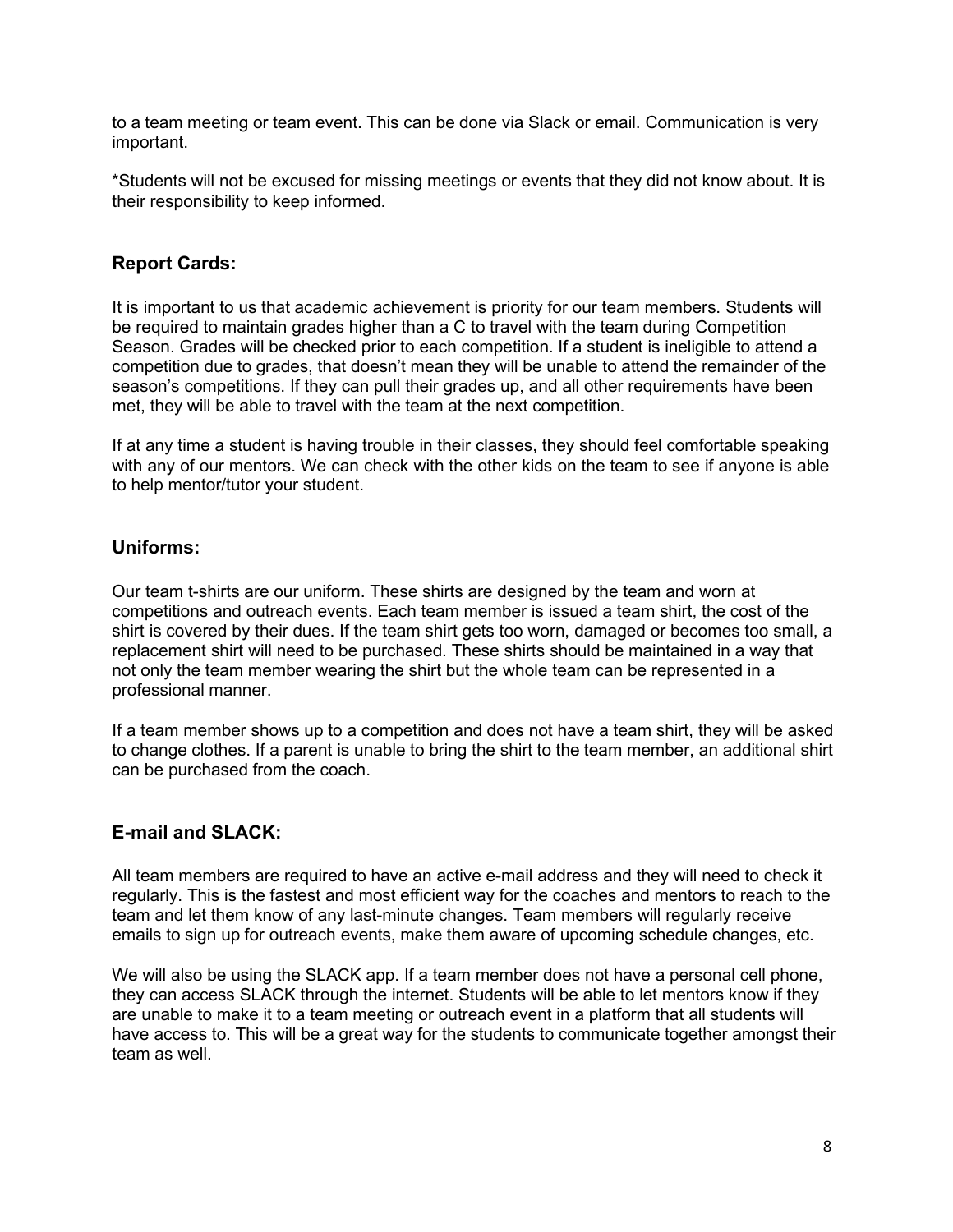to a team meeting or team event. This can be done via Slack or email. Communication is very important.

\*Students will not be excused for missing meetings or events that they did not know about. It is their responsibility to keep informed.

#### **Report Cards:**

It is important to us that academic achievement is priority for our team members. Students will be required to maintain grades higher than a C to travel with the team during Competition Season. Grades will be checked prior to each competition. If a student is ineligible to attend a competition due to grades, that doesn't mean they will be unable to attend the remainder of the season's competitions. If they can pull their grades up, and all other requirements have been met, they will be able to travel with the team at the next competition.

If at any time a student is having trouble in their classes, they should feel comfortable speaking with any of our mentors. We can check with the other kids on the team to see if anyone is able to help mentor/tutor your student.

#### **Uniforms:**

Our team t-shirts are our uniform. These shirts are designed by the team and worn at competitions and outreach events. Each team member is issued a team shirt, the cost of the shirt is covered by their dues. If the team shirt gets too worn, damaged or becomes too small, a replacement shirt will need to be purchased. These shirts should be maintained in a way that not only the team member wearing the shirt but the whole team can be represented in a professional manner.

If a team member shows up to a competition and does not have a team shirt, they will be asked to change clothes. If a parent is unable to bring the shirt to the team member, an additional shirt can be purchased from the coach.

#### **E-mail and SLACK:**

All team members are required to have an active e-mail address and they will need to check it regularly. This is the fastest and most efficient way for the coaches and mentors to reach to the team and let them know of any last-minute changes. Team members will regularly receive emails to sign up for outreach events, make them aware of upcoming schedule changes, etc.

We will also be using the SLACK app. If a team member does not have a personal cell phone, they can access SLACK through the internet. Students will be able to let mentors know if they are unable to make it to a team meeting or outreach event in a platform that all students will have access to. This will be a great way for the students to communicate together amongst their team as well.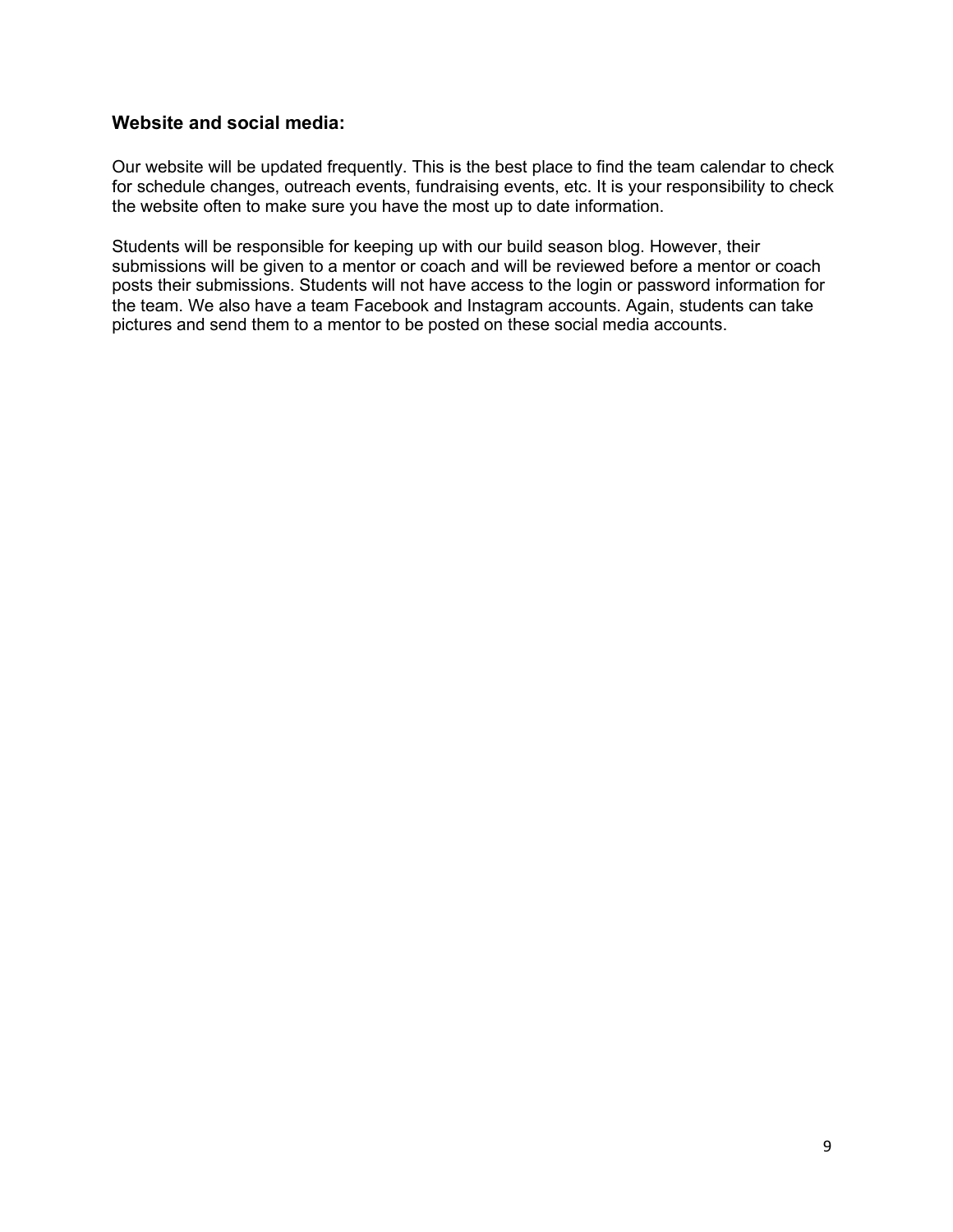#### **Website and social media:**

Our website will be updated frequently. This is the best place to find the team calendar to check for schedule changes, outreach events, fundraising events, etc. It is your responsibility to check the website often to make sure you have the most up to date information.

Students will be responsible for keeping up with our build season blog. However, their submissions will be given to a mentor or coach and will be reviewed before a mentor or coach posts their submissions. Students will not have access to the login or password information for the team. We also have a team Facebook and Instagram accounts. Again, students can take pictures and send them to a mentor to be posted on these social media accounts.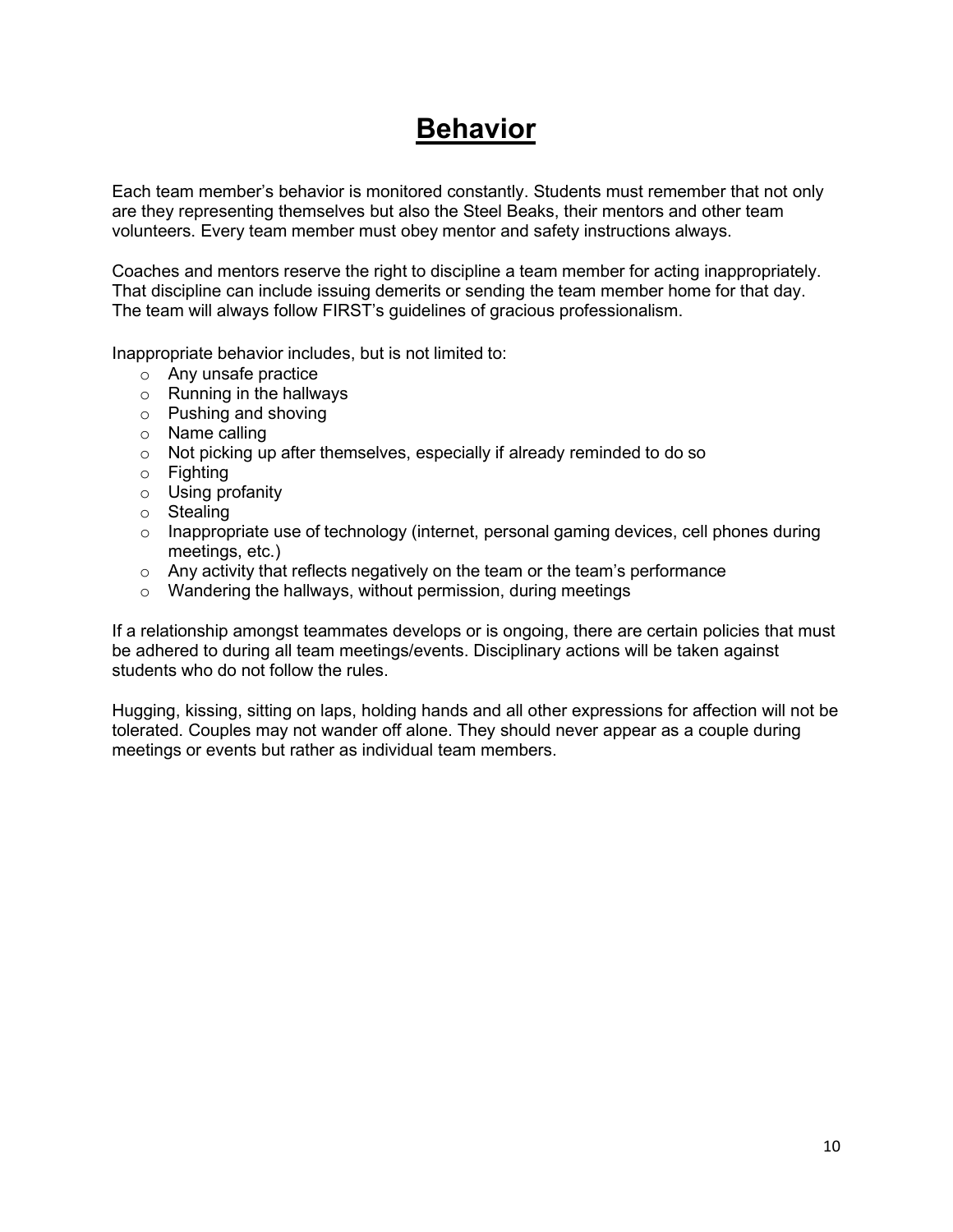### **Behavior**

Each team member's behavior is monitored constantly. Students must remember that not only are they representing themselves but also the Steel Beaks, their mentors and other team volunteers. Every team member must obey mentor and safety instructions always.

Coaches and mentors reserve the right to discipline a team member for acting inappropriately. That discipline can include issuing demerits or sending the team member home for that day. The team will always follow FIRST's guidelines of gracious professionalism.

Inappropriate behavior includes, but is not limited to:

- o Any unsafe practice
- o Running in the hallways
- o Pushing and shoving
- o Name calling
- o Not picking up after themselves, especially if already reminded to do so
- $\circ$  Fighting
- o Using profanity
- o Stealing
- $\circ$  Inappropriate use of technology (internet, personal gaming devices, cell phones during meetings, etc.)
- $\circ$  Any activity that reflects negatively on the team or the team's performance
- o Wandering the hallways, without permission, during meetings

If a relationship amongst teammates develops or is ongoing, there are certain policies that must be adhered to during all team meetings/events. Disciplinary actions will be taken against students who do not follow the rules.

Hugging, kissing, sitting on laps, holding hands and all other expressions for affection will not be tolerated. Couples may not wander off alone. They should never appear as a couple during meetings or events but rather as individual team members.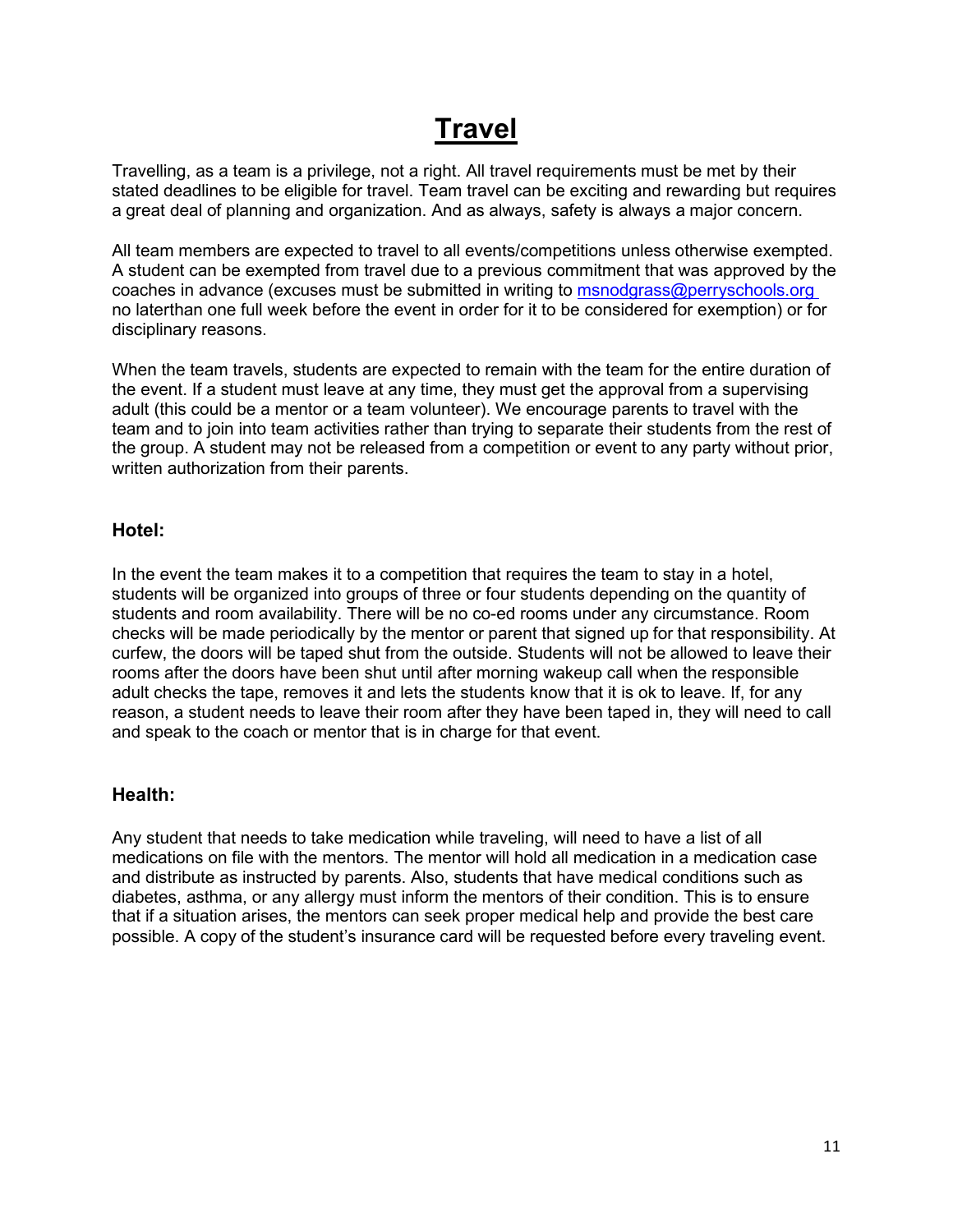## **Travel**

Travelling, as a team is a privilege, not a right. All travel requirements must be met by their stated deadlines to be eligible for travel. Team travel can be exciting and rewarding but requires a great deal of planning and organization. And as always, safety is always a major concern.

All team members are expected to travel to all events/competitions unless otherwise exempted. A student can be exempted from travel due to a previous commitment that was approved by the coaches in advance (excuses must be submitted in writing to msnodgrass@perryschools.org no laterthan one full week before the event in order for it to be considered for exemption) or for disciplinary reasons.

When the team travels, students are expected to remain with the team for the entire duration of the event. If a student must leave at any time, they must get the approval from a supervising adult (this could be a mentor or a team volunteer). We encourage parents to travel with the team and to join into team activities rather than trying to separate their students from the rest of the group. A student may not be released from a competition or event to any party without prior, written authorization from their parents.

#### **Hotel:**

In the event the team makes it to a competition that requires the team to stay in a hotel, students will be organized into groups of three or four students depending on the quantity of students and room availability. There will be no co-ed rooms under any circumstance. Room checks will be made periodically by the mentor or parent that signed up for that responsibility. At curfew, the doors will be taped shut from the outside. Students will not be allowed to leave their rooms after the doors have been shut until after morning wakeup call when the responsible adult checks the tape, removes it and lets the students know that it is ok to leave. If, for any reason, a student needs to leave their room after they have been taped in, they will need to call and speak to the coach or mentor that is in charge for that event.

#### **Health:**

Any student that needs to take medication while traveling, will need to have a list of all medications on file with the mentors. The mentor will hold all medication in a medication case and distribute as instructed by parents. Also, students that have medical conditions such as diabetes, asthma, or any allergy must inform the mentors of their condition. This is to ensure that if a situation arises, the mentors can seek proper medical help and provide the best care possible. A copy of the student's insurance card will be requested before every traveling event.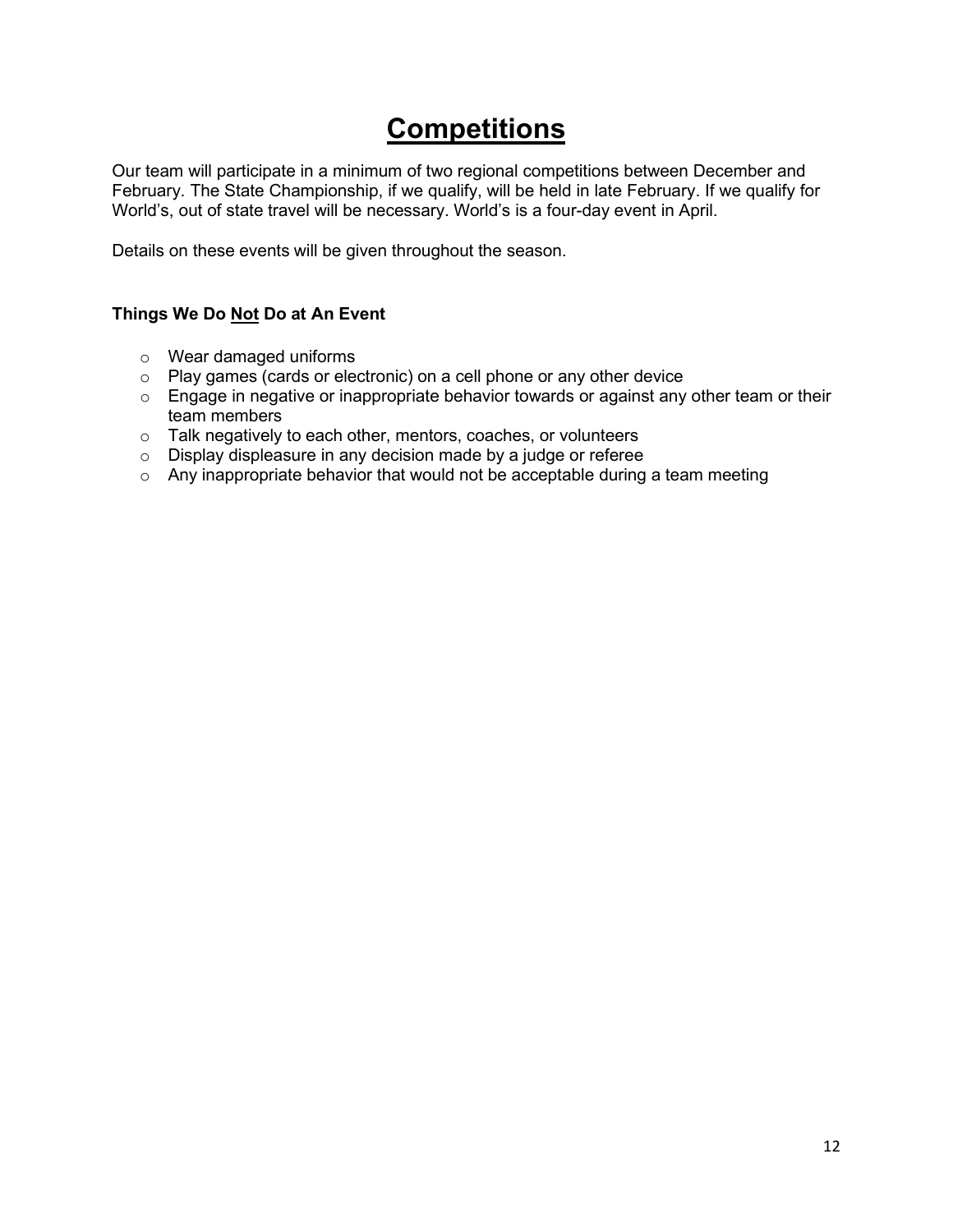## **Competitions**

Our team will participate in a minimum of two regional competitions between December and February. The State Championship, if we qualify, will be held in late February. If we qualify for World's, out of state travel will be necessary. World's is a four-day event in April.

Details on these events will be given throughout the season.

#### **Things We Do Not Do at An Event**

- o Wear damaged uniforms
- o Play games (cards or electronic) on a cell phone or any other device
- o Engage in negative or inappropriate behavior towards or against any other team or their team members
- o Talk negatively to each other, mentors, coaches, or volunteers
- o Display displeasure in any decision made by a judge or referee
- o Any inappropriate behavior that would not be acceptable during a team meeting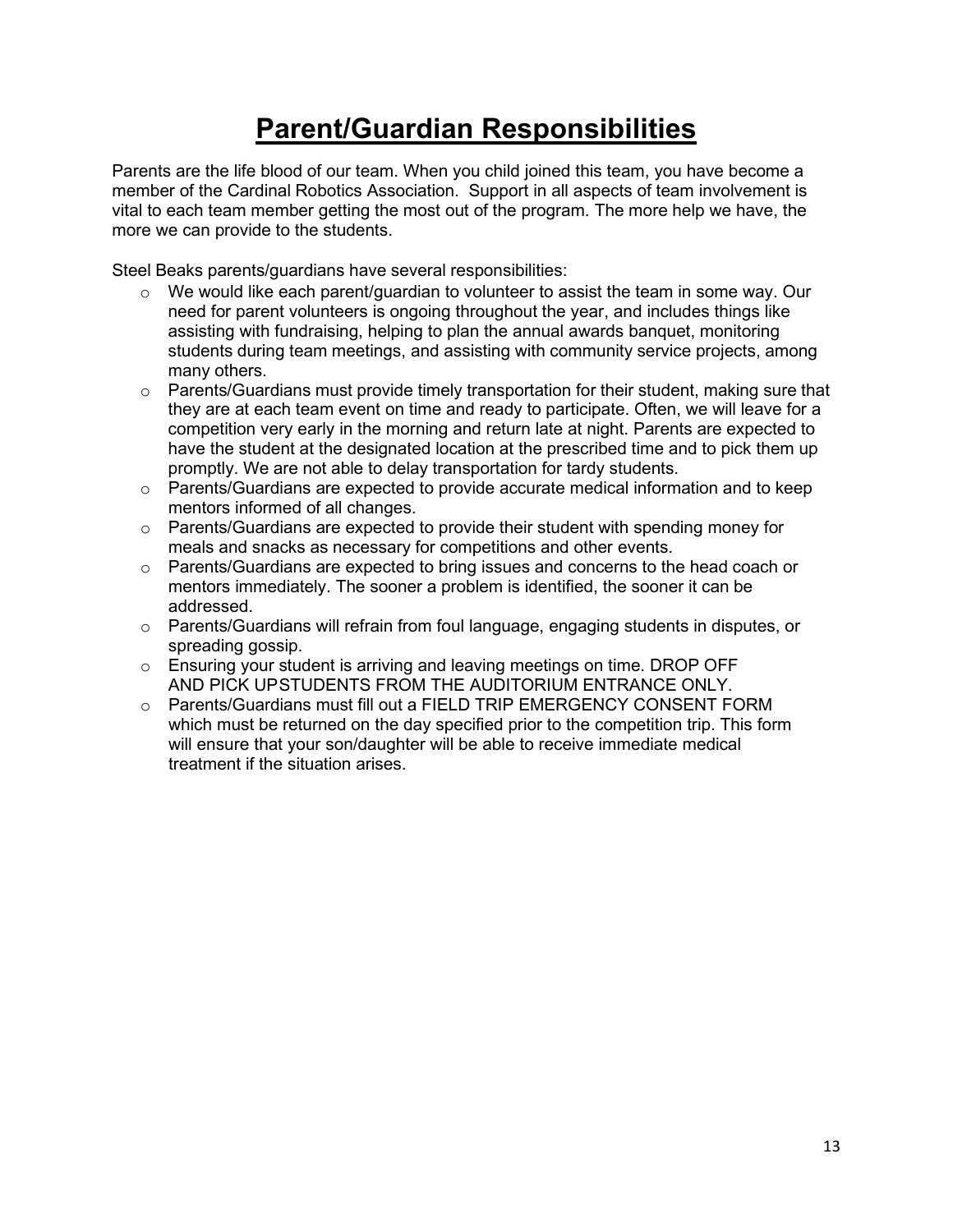## **Parent/Guardian Responsibilities**

Parents are the life blood of our team. When you child joined this team, you have become a member of the Cardinal Robotics Association. Support in all aspects of team involvement is vital to each team member getting the most out of the program. The more help we have, the more we can provide to the students.

Steel Beaks parents/guardians have several responsibilities:

- o We would like each parent/guardian to volunteer to assist the team in some way. Our need for parent volunteers is ongoing throughout the year, and includes things like assisting with fundraising, helping to plan the annual awards banquet, monitoring students during team meetings, and assisting with community service projects, among many others.
- $\circ$  Parents/Guardians must provide timely transportation for their student, making sure that they are at each team event on time and ready to participate. Often, we will leave for a competition very early in the morning and return late at night. Parents are expected to have the student at the designated location at the prescribed time and to pick them up promptly. We are not able to delay transportation for tardy students.
- o Parents/Guardians are expected to provide accurate medical information and to keep mentors informed of all changes.
- $\circ$  Parents/Guardians are expected to provide their student with spending money for meals and snacks as necessary for competitions and other events.
- o Parents/Guardians are expected to bring issues and concerns to the head coach or mentors immediately. The sooner a problem is identified, the sooner it can be addressed.
- $\circ$  Parents/Guardians will refrain from foul language, engaging students in disputes, or spreading gossip.
- $\circ$  Ensuring your student is arriving and leaving meetings on time. DROP OFF AND PICK UPSTUDENTS FROM THE AUDITORIUM ENTRANCE ONLY.
- o Parents/Guardians must fill out a FIELD TRIP EMERGENCY CONSENT FORM which must be returned on the day specified prior to the competition trip. This form will ensure that your son/daughter will be able to receive immediate medical treatment if the situation arises.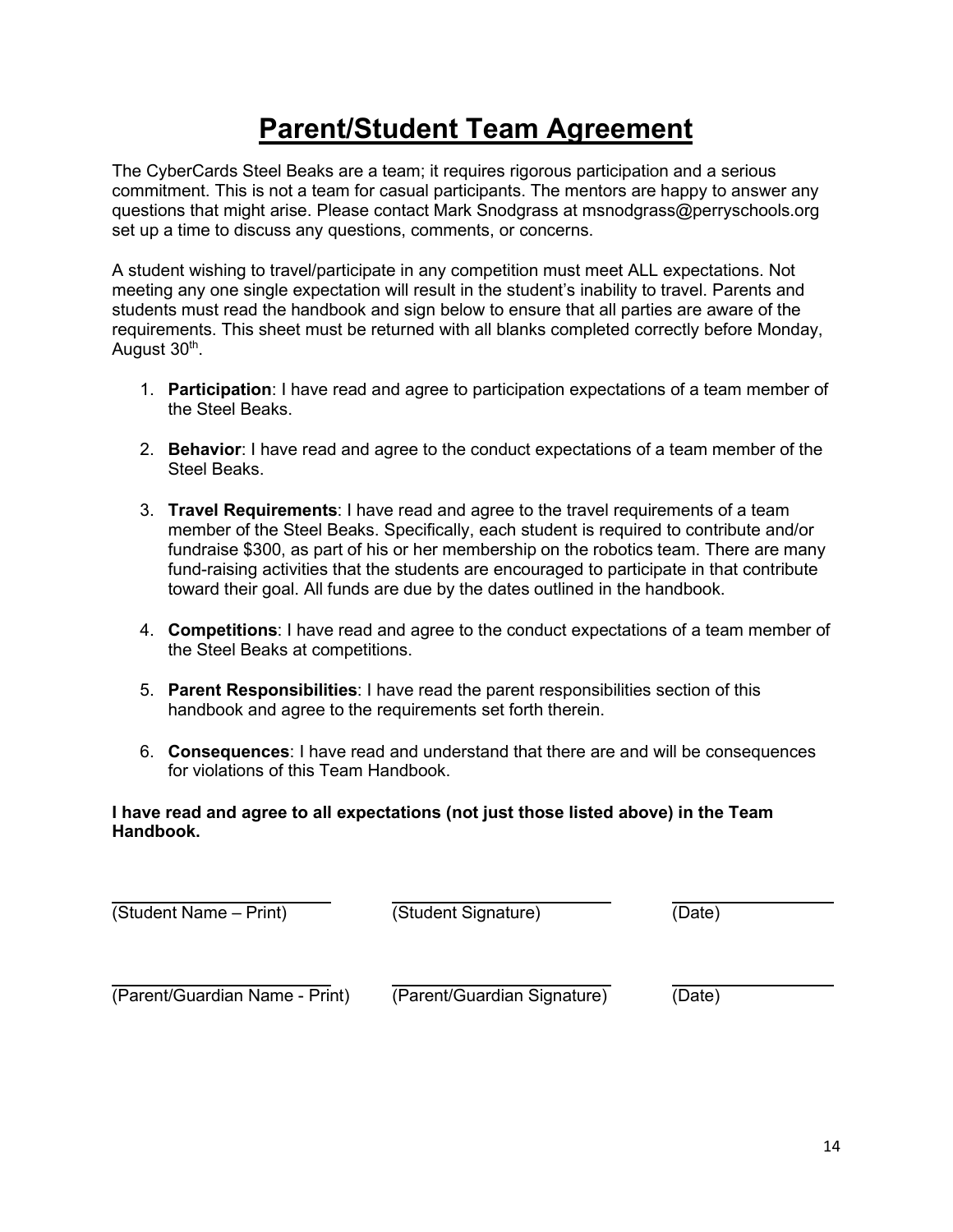## **Parent/Student Team Agreement**

The CyberCards Steel Beaks are a team; it requires rigorous participation and a serious commitment. This is not a team for casual participants. The mentors are happy to answer any questions that might arise. Please contact Mark Snodgrass at [msnodgrass@perryschools.org](mailto:msnodgrass@perryschools.org) set up a time to discuss any questions, comments, or concerns.

A student wishing to travel/participate in any competition must meet ALL expectations. Not meeting any one single expectation will result in the student's inability to travel. Parents and students must read the handbook and sign below to ensure that all parties are aware of the requirements. This sheet must be returned with all blanks completed correctly before Monday, August 30<sup>th</sup>.

- 1. **Participation**: I have read and agree to participation expectations of a team member of the Steel Beaks.
- 2. **Behavior**: I have read and agree to the conduct expectations of a team member of the Steel Beaks.
- 3. **Travel Requirements**: I have read and agree to the travel requirements of a team member of the Steel Beaks. Specifically, each student is required to contribute and/or fundraise \$300, as part of his or her membership on the robotics team. There are many fund-raising activities that the students are encouraged to participate in that contribute toward their goal. All funds are due by the dates outlined in the handbook.
- 4. **Competitions**: I have read and agree to the conduct expectations of a team member of the Steel Beaks at competitions.
- 5. **Parent Responsibilities**: I have read the parent responsibilities section of this handbook and agree to the requirements set forth therein.
- 6. **Consequences**: I have read and understand that there are and will be consequences for violations of this Team Handbook.

#### **I have read and agree to all expectations (not just those listed above) in the Team Handbook.**

(Student Name – Print) (Student Signature) (Date)

(Parent/Guardian Name - Print) (Parent/Guardian Signature) (Date)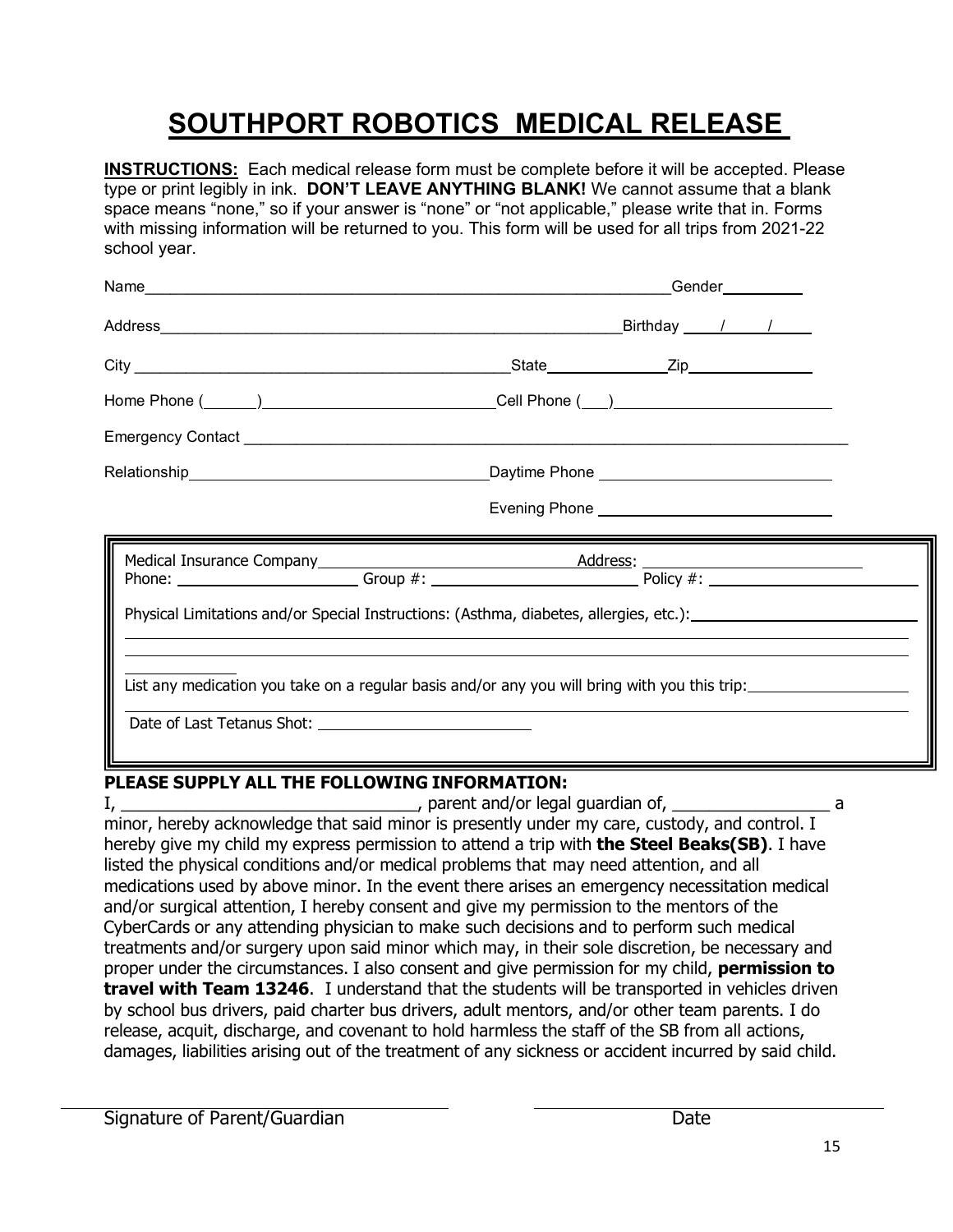## **SOUTHPORT ROBOTICS MEDICAL RELEASE**

**INSTRUCTIONS:** Each medical release form must be complete before it will be accepted. Please type or print legibly in ink. **DON'T LEAVE ANYTHING BLANK!** We cannot assume that a blank space means "none," so if your answer is "none" or "not applicable," please write that in. Forms with missing information will be returned to you. This form will be used for all trips from 2021-22 school year.

| Gender__________                                                                                                                                                                                                                 |
|----------------------------------------------------------------------------------------------------------------------------------------------------------------------------------------------------------------------------------|
| Birthday / /                                                                                                                                                                                                                     |
|                                                                                                                                                                                                                                  |
|                                                                                                                                                                                                                                  |
|                                                                                                                                                                                                                                  |
|                                                                                                                                                                                                                                  |
|                                                                                                                                                                                                                                  |
| Physical Limitations and/or Special Instructions: (Asthma, diabetes, allergies, etc.): _______________________<br>List any medication you take on a regular basis and/or any you will bring with you this trip: ________________ |
|                                                                                                                                                                                                                                  |

#### **PLEASE SUPPLY ALL THE FOLLOWING INFORMATION:**

I, \_\_\_\_\_\_\_\_\_\_\_\_\_\_\_\_\_\_\_\_\_\_\_\_\_\_\_\_\_\_\_\_, parent and/or legal guardian of, \_\_\_\_\_\_\_\_\_\_\_\_\_\_\_\_\_ a minor, hereby acknowledge that said minor is presently under my care, custody, and control. I hereby give my child my express permission to attend a trip with **the Steel Beaks(SB)**. I have listed the physical conditions and/or medical problems that may need attention, and all medications used by above minor. In the event there arises an emergency necessitation medical and/or surgical attention, I hereby consent and give my permission to the mentors of the CyberCards or any attending physician to make such decisions and to perform such medical treatments and/or surgery upon said minor which may, in their sole discretion, be necessary and proper under the circumstances. I also consent and give permission for my child, **permission to travel with Team 13246**. I understand that the students will be transported in vehicles driven by school bus drivers, paid charter bus drivers, adult mentors, and/or other team parents. I do release, acquit, discharge, and covenant to hold harmless the staff of the SB from all actions, damages, liabilities arising out of the treatment of any sickness or accident incurred by said child.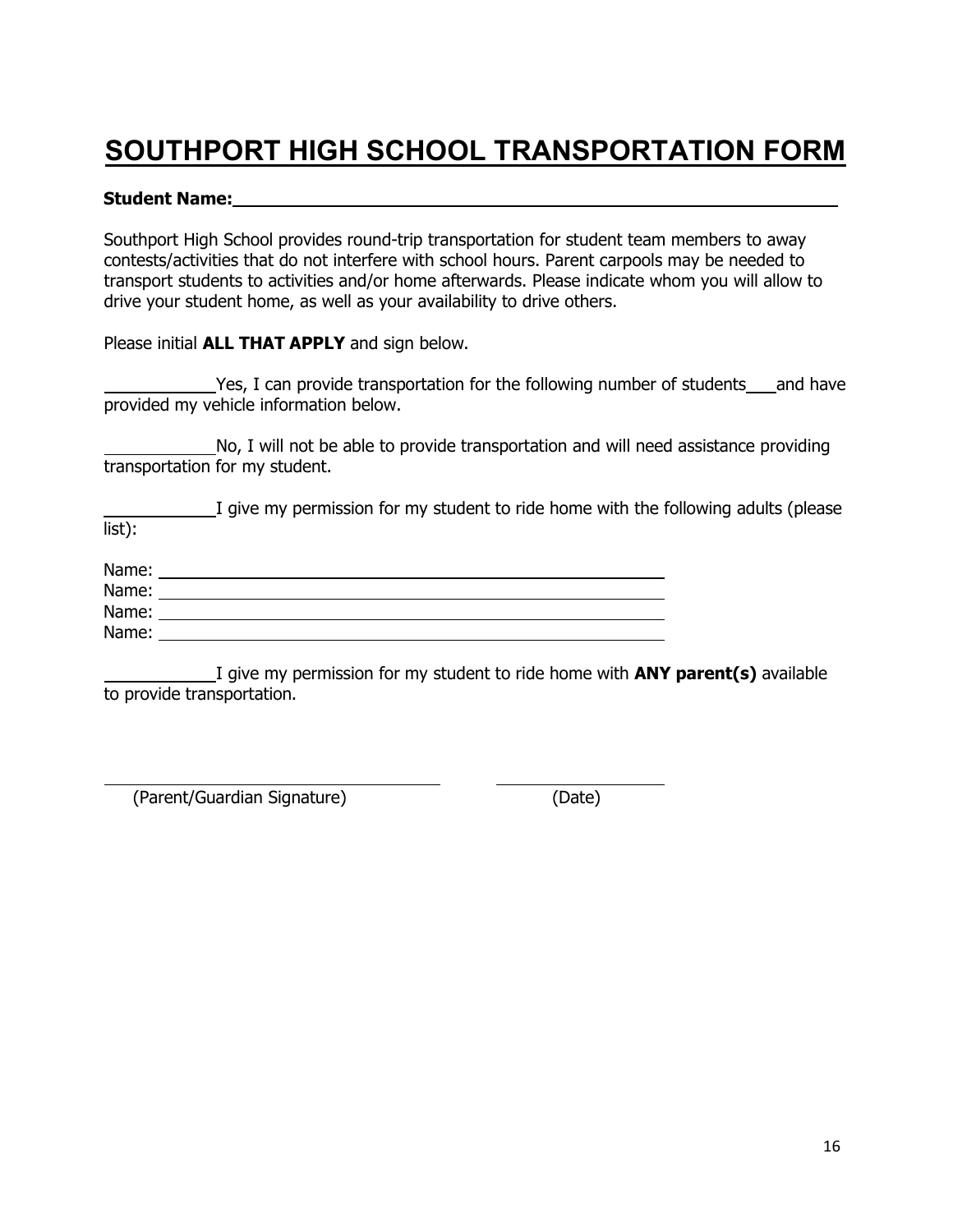## **SOUTHPORT HIGH SCHOOL TRANSPORTATION FORM**

#### **Student Name:**

Southport High School provides round-trip transportation for student team members to away contests/activities that do not interfere with school hours. Parent carpools may be needed to transport students to activities and/or home afterwards. Please indicate whom you will allow to drive your student home, as well as your availability to drive others.

Please initial **ALL THAT APPLY** and sign below.

Yes, I can provide transportation for the following number of students and have provided my vehicle information below.

 No, I will not be able to provide transportation and will need assistance providing transportation for my student.

|        | I give my permission for my student to ride home with the following adults (please |  |
|--------|------------------------------------------------------------------------------------|--|
| list): |                                                                                    |  |

| Name: |  |
|-------|--|
| Name: |  |
| Name: |  |
| Name: |  |

 I give my permission for my student to ride home with **ANY parent(s)** available to provide transportation.

(Parent/Guardian Signature) (Date)